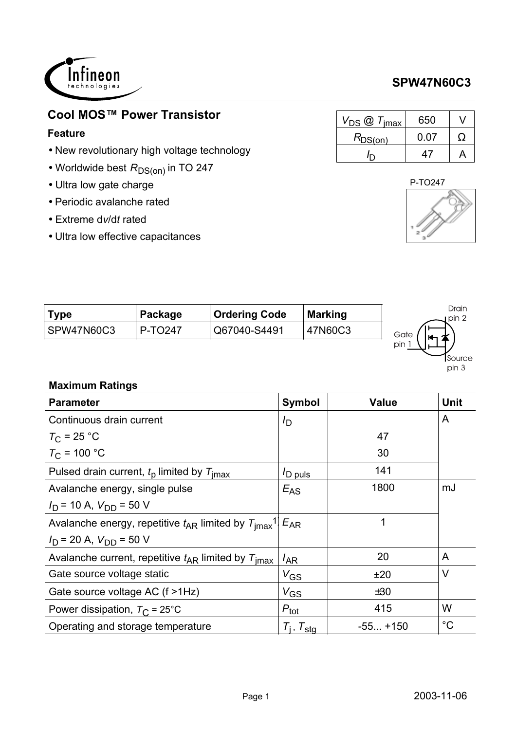

# **Cool MOS<sup>™</sup> Power Transistor**

#### **Feature**

- New revolutionary high voltage technology
- $\bullet$  Worldwide best  $R_\mathsf{DS(on)}$  in TO 247
- Ultra low gate charge
- Periodic avalanche rated
- Extreme d*v*/d*t* rated
- Ultra low effective capacitances

| $V_{DS}$ $\omega$ $T_{\text{imax}}$ | 650  |   |
|-------------------------------------|------|---|
| $R_{DS(on)}$                        | 0.07 | 0 |
|                                     |      |   |



Source  $pin 3$ 

| <b>Type</b> | Package | <b>Ordering Code</b> | <b>Marking</b> | Drain<br>ı pin 2 |
|-------------|---------|----------------------|----------------|------------------|
| SPW47N60C3  | P-TO247 | Q67040-S4491         | 47N60C3        | Gate             |
|             |         |                      |                | pin              |

### **Maximum Ratings**

| <b>Parameter</b>                                                                         | <b>Symbol</b>       | <b>Value</b> | <b>Unit</b> |
|------------------------------------------------------------------------------------------|---------------------|--------------|-------------|
| Continuous drain current                                                                 | $I_{\mathsf{D}}$    |              | A           |
| $T_{\rm C}$ = 25 °C                                                                      |                     | 47           |             |
| $T_{\rm C}$ = 100 °C                                                                     |                     | 30           |             |
| Pulsed drain current, $tp$ limited by $Timax$                                            | $I_{\text{D puls}}$ | 141          |             |
| Avalanche energy, single pulse                                                           | $E_{AS}$            | 1800         | mJ          |
| $I_D$ = 10 A, $V_{DD}$ = 50 V                                                            |                     |              |             |
| Avalanche energy, repetitive $t_{AR}$ limited by $T_{\text{imax}}$ <sup>1</sup> $E_{AR}$ |                     | 1            |             |
| $I_D$ = 20 A, $V_{DD}$ = 50 V                                                            |                     |              |             |
| Avalanche current, repetitive $t_{AR}$ limited by $T_{\text{imax}}$                      | $I_{AR}$            | 20           | A           |
| Gate source voltage static                                                               | $V_{GS}$            | ±20          | $\vee$      |
| Gate source voltage AC (f >1Hz)                                                          | $V_{GS}$            | ±30          |             |
| Power dissipation, $T_{\rm C}$ = 25°C                                                    | $P_{\text{tot}}$    | 415          | W           |
| Operating and storage temperature                                                        | $T_i$ , $T_{sta}$   | $-55+150$    | $^{\circ}C$ |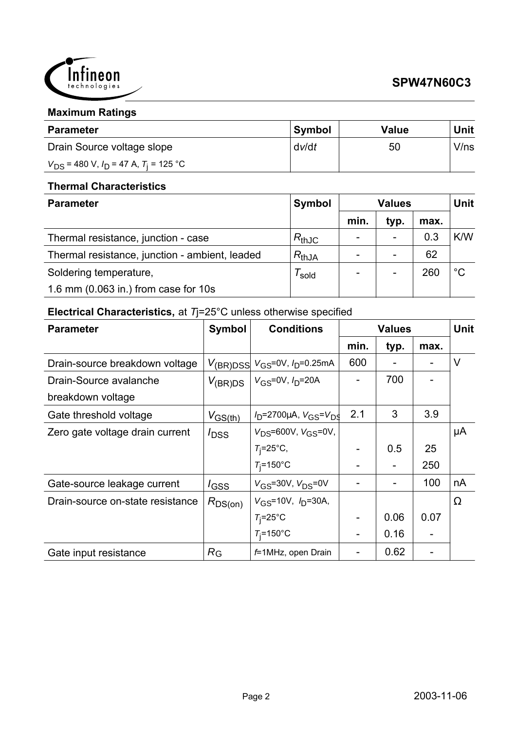

#### **Maximum Ratings**

| <b>Parameter</b>                               | <b>Symbol</b> | <b>Value</b> | <b>Unit</b> |
|------------------------------------------------|---------------|--------------|-------------|
| Drain Source voltage slope                     | dv/dt         | 50           | V/ns        |
| $V_{DS}$ = 480 V, $I_D$ = 47 A, $T_i$ = 125 °C |               |              |             |

#### **Thermal Characteristics**

| <b>Parameter</b>                               | Symbol     | <b>Values</b> |                          |      | Unit        |
|------------------------------------------------|------------|---------------|--------------------------|------|-------------|
|                                                |            | min.          | typ.                     | max. |             |
| Thermal resistance, junction - case            | $R_{thJC}$ |               | $\overline{\phantom{0}}$ | 0.3  | K/W         |
| Thermal resistance, junction - ambient, leaded | $R_{thJA}$ |               |                          | 62   |             |
| Soldering temperature,                         | sold       |               |                          | 260  | $^{\circ}C$ |
| 1.6 mm (0.063 in.) from case for 10s           |            |               |                          |      |             |

### **Electrical Characteristics,** at *T*j=25°C unless otherwise specified

| <b>Parameter</b>                 | <b>Symbol</b>              | <b>Conditions</b>                                       | <b>Values</b> |      |      | <b>Unit</b> |
|----------------------------------|----------------------------|---------------------------------------------------------|---------------|------|------|-------------|
|                                  |                            |                                                         | min.          | typ. | max. |             |
| Drain-source breakdown voltage   |                            | $V_{\rm (BR)DSS}$ $V_{\rm GS}$ =0V, $I_{\rm D}$ =0.25mA | 600           |      |      | $\vee$      |
| Drain-Source avalanche           | $V_{(\text{BR})\text{DS}}$ | $ V_{GS}$ =0V, $I_{D}$ =20A                             |               | 700  |      |             |
| breakdown voltage                |                            |                                                         |               |      |      |             |
| Gate threshold voltage           | $V_{GS(th)}$               | $V_D$ =2700µA, $V_{GS} = V_{DS}$                        | 2.1           | 3    | 3.9  |             |
| Zero gate voltage drain current  | $I_{\text{DSS}}$           | $V_{DS} = 600V$ , $V_{GS} = 0V$ ,                       |               |      |      | μA          |
|                                  |                            | $T_i = 25^\circ \text{C}$ ,                             |               | 0.5  | 25   |             |
|                                  |                            | $T_i = 150$ °C                                          |               |      | 250  |             |
| Gate-source leakage current      | $I_{GSS}$                  | $V_{GS}$ =30V, $V_{DS}$ =0V                             |               |      | 100  | nA          |
| Drain-source on-state resistance | $R_{DS(on)}$               | $V_{GS}$ =10V, $I_{D}$ =30A,                            |               |      |      | $\Omega$    |
|                                  |                            | $T_i = 25$ °C                                           |               | 0.06 | 0.07 |             |
|                                  |                            | $T_i = 150$ °C                                          |               | 0.16 |      |             |
| Gate input resistance            | $R_{\rm G}$                | $f=1$ MHz, open Drain                                   |               | 0.62 |      |             |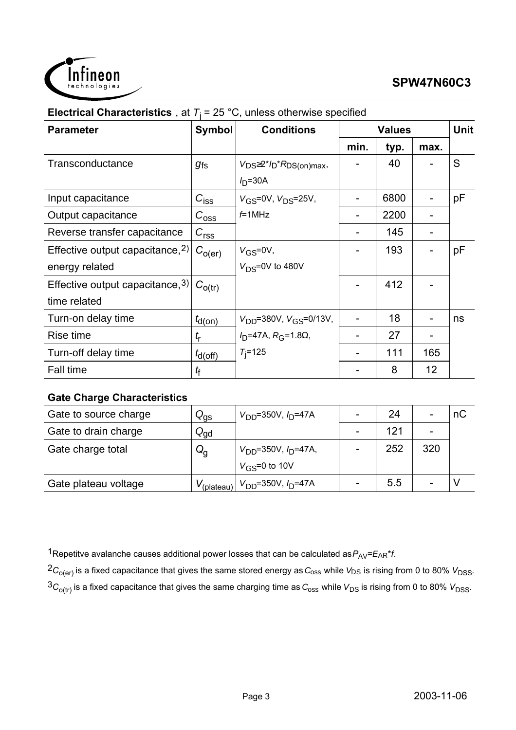

| <b>Parameter</b>                                      | Symbol             | <b>Conditions</b>                                    | <b>Values</b> |      |                 | <b>Unit</b> |
|-------------------------------------------------------|--------------------|------------------------------------------------------|---------------|------|-----------------|-------------|
|                                                       |                    |                                                      | min.          | typ. | max.            |             |
| Transconductance                                      | $g_{\mathsf{fs}}$  | $V_{DS} \geq 2^{*}I_{D} * R_{DS(on)max}$<br>$ID=30A$ |               | 40   |                 | S           |
| Input capacitance                                     | $C_{\text{iss}}$   | $V_{GS} = 0V$ , $V_{DS} = 25V$ ,                     |               | 6800 |                 | pF          |
| Output capacitance                                    | $C_{\rm{oss}}$     | $f=1$ MHz                                            |               | 2200 |                 |             |
| Reverse transfer capacitance                          | C <sub>rss</sub>   |                                                      |               | 145  |                 |             |
| Effective output capacitance, $2$ )<br>energy related | $C_{O(\text{er})}$ | $V_{GS} = 0V$ ,<br>$V_{DS} = 0V$ to 480V             |               | 193  |                 | pF          |
| Effective output capacitance, 3)<br>time related      | $C_{O(tr)}$        |                                                      |               | 412  |                 |             |
| Turn-on delay time                                    | $t_{d(on)}$        | $V_{DD} = 380V$ , $V_{GS} = 0/13V$ ,                 |               | 18   |                 | ns          |
| Rise time                                             | $t_{\sf r}$        | $I_D$ =47A, $R_G$ =1.8 $\Omega$ ,                    |               | 27   |                 |             |
| Turn-off delay time                                   | $t_{d(Off)}$       | $T_{i} = 125$                                        |               | 111  | 165             |             |
| <b>Fall time</b>                                      | tf                 |                                                      |               | 8    | 12 <sup>2</sup> |             |

#### **Electrical Characteristics** at  $T_i = 25 \degree C$ , unless otherwise specified

#### **Gate Charge Characteristics**

| Gate to source charge | $Q_{\text{gs}}$           | $V_{DD} = 350V, I_D = 47A$                                          | 24  |     | nС |
|-----------------------|---------------------------|---------------------------------------------------------------------|-----|-----|----|
| Gate to drain charge  | $Q_{\text{gd}}$           |                                                                     | 121 |     |    |
| Gate charge total     | $\mathsf{Q}_{\mathsf{q}}$ | $V_{DD}$ =350V, $I_D$ =47A,                                         | 252 | 320 |    |
|                       |                           | $V_{\rm GS} = 0$ to 10V                                             |     |     |    |
| Gate plateau voltage  |                           | $V_{\text{(plateau)}}$   $V_{\text{DD}}$ =350V, $I_{\text{D}}$ =47A | 5.5 |     |    |

1Repetitve avalanche causes additional power losses that can be calculated as  $P_{AV} = E_{AR} * f$ .

 ${}^2C_{O(er)}$  is a fixed capacitance that gives the same stored energy as  $C_{\rm oss}$  while  $V_{DS}$  is rising from 0 to 80%  $V_{DSS}$ .

 ${}^3C_{O(tr)}$  is a fixed capacitance that gives the same charging time as  $C_{0ss}$  while  $V_{DS}$  is rising from 0 to 80%  $V_{DSS}$ .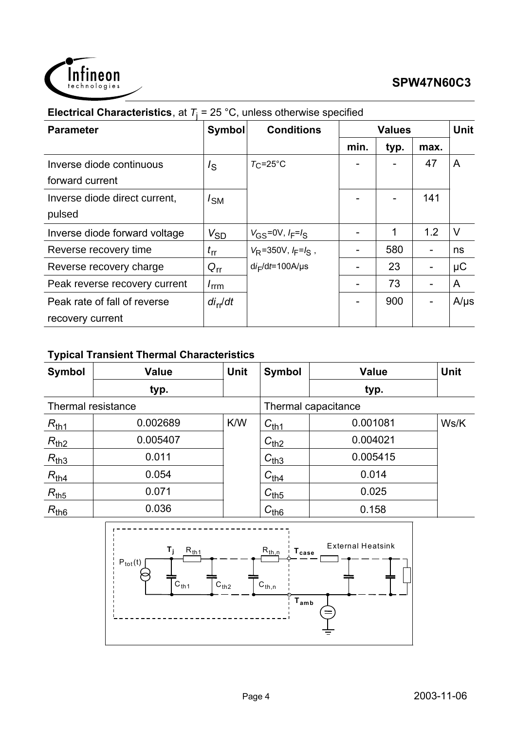

|                               |                   | $\sim$ $\sim$ , annous other mod opounds. |      |               |      |             |
|-------------------------------|-------------------|-------------------------------------------|------|---------------|------|-------------|
| <b>Parameter</b>              | <b>Symbol</b>     | <b>Conditions</b>                         |      | <b>Values</b> |      | <b>Unit</b> |
|                               |                   |                                           | min. | typ.          | max. |             |
| Inverse diode continuous      | $I_{\rm S}$       | $T_{\rm C}$ =25°C                         |      |               | 47   | A           |
| forward current               |                   |                                           |      |               |      |             |
| Inverse diode direct current, | /sм               |                                           |      |               | 141  |             |
| pulsed                        |                   |                                           |      |               |      |             |
| Inverse diode forward voltage | $V_{\mathrm{SD}}$ | $V_{GS} = 0V, I_F = I_S$                  |      |               | 1.2  | V           |
| Reverse recovery time         | $t_{\rm rr}$      | $V_R$ =350V, $I_F = I_S$ ,                |      | 580           |      | ns          |
| Reverse recovery charge       | $Q_{rr}$          | $di_F/dt = 100A/\mu s$                    |      | 23            |      | $\mu$ C     |
| Peak reverse recovery current | $I_{\text{rrm}}$  |                                           |      | 73            |      | A           |
| Peak rate of fall of reverse  | $di_{rr}/dt$      |                                           |      | 900           |      | $A/\mu s$   |
| recovery current              |                   |                                           |      |               |      |             |

#### **Electrical Characteristics**, at  $T<sub>j</sub> = 25 °C$ , unless otherwise specified

### **Typical Transient Thermal Characteristics**

| <b>Symbol</b>      | <b>Value</b> | <b>Unit</b> | <b>Symbol</b> | <b>Value</b>        | <b>Unit</b> |
|--------------------|--------------|-------------|---------------|---------------------|-------------|
|                    | typ.         |             |               | typ.                |             |
| Thermal resistance |              |             |               | Thermal capacitance |             |
| $R_{th1}$          | 0.002689     | K/W         | $C_{th1}$     | 0.001081            | Ws/K        |
| $R_{th2}$          | 0.005407     |             | $C_{th2}$     | 0.004021            |             |
| $R_{th3}$          | 0.011        |             | $C_{th3}$     | 0.005415            |             |
| $R_{th4}$          | 0.054        |             | $C_{th4}$     | 0.014               |             |
| $R_{th5}$          | 0.071        |             | $C_{th5}$     | 0.025               |             |
| $R_{th6}$          | 0.036        |             | $C_{th6}$     | 0.158               |             |

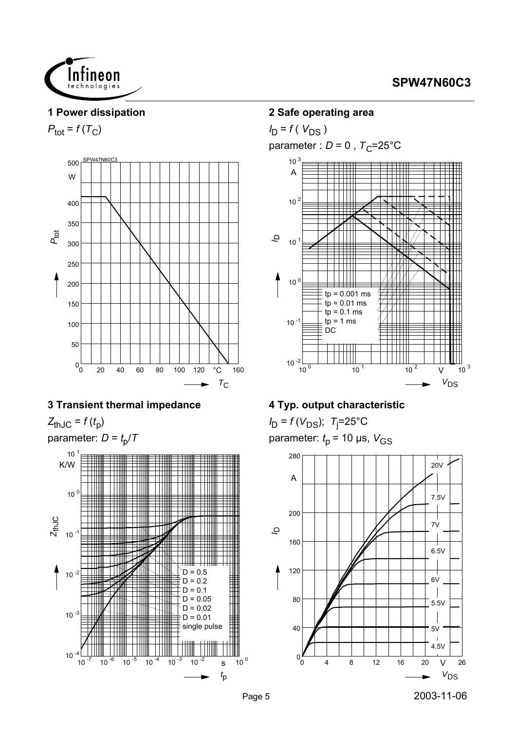

#### **1 Power dissipation**

 $P_{\text{tot}} = f(T_C)$ 



#### **3 Transient thermal impedance**

 $Z_{thJC} = f(t_p)$ 





#### **2 Safe operating area**

 $I_D = f(V_{DS})$ parameter :  $D = 0$ ,  $T_C = 25^{\circ}$ C



#### **4 Typ. output characteristic**

*I*<sub>D</sub> = *f* (*V*<sub>DS</sub>); *T*<sub>j</sub>=25°C parameter:  $t_p$  = 10 µs,  $V_{GS}$ 

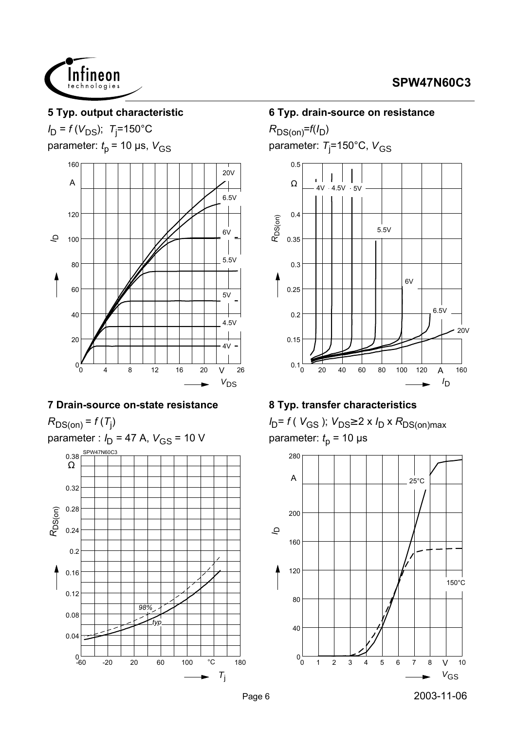



#### **5 Typ. output characteristic**

*I*<sub>D</sub> = *f* (*V*<sub>DS</sub>); *T*<sub>j</sub>=150°C parameter:  $t_p$  = 10 µs,  $V_{GS}$ 



#### **7 Drain-source on-state resistance**

 $R_{DS(on)}$  =  $f(T_j)$ 

parameter : *I*<sub>D</sub> = 47 A, *V*<sub>GS</sub> = 10 V



#### **6 Typ. drain-source on resistance**

 $R_{DS(on)}=f(I_D)$ parameter: *T*<sub>j</sub>=150°C, V<sub>GS</sub>



#### **8 Typ. transfer characteristics**

 $I_D = f(V_{GS})$ ;  $V_{DS} \geq 2 \times I_D \times R_{DS(on)max}$ parameter:  $t_p$  = 10  $\mu$ s

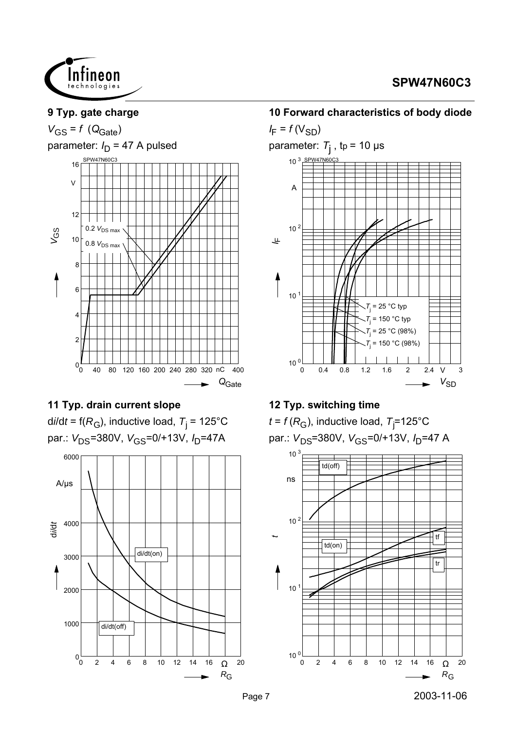

#### **9 Typ. gate charge**

 $V_{GS} = f (Q_{Gate})$ 

parameter:  $I_D$  = 47 A pulsed



#### **11 Typ. drain current slope**

d*i*/d*t* = f(*R*<sub>G</sub>), inductive load, *T*<sub>j</sub> = 125°C par.: V<sub>DS</sub>=380V, V<sub>GS</sub>=0/+13V, I<sub>D</sub>=47A



#### **10 Forward characteristics of body diode**

 $I_F = f(V_{SD})$ parameter: *T*j , tp = 10 µs 0 0.4 0.8 1.2 1.6 2 2.4 V 3  $V_{SD}$  $\frac{10}{0}$  $10$  $10<sup>2</sup>$ 10 A SPW47N60C3 ىلى<br>ا *T*j  $= 25 °C$  typ *T*j = 25 °C (98%) *T*j  $= 150 °C$  typ *T*j = 150 °C (98%)

#### **12 Typ. switching time**

 $t$  = *f* ( $R_{\rm G}$ ), inductive load,  $\rm \tau_j$ =125°C par.:  $V_{DS}$ =380V,  $V_{GS}$ =0/+13V,  $I_D$ =47 A

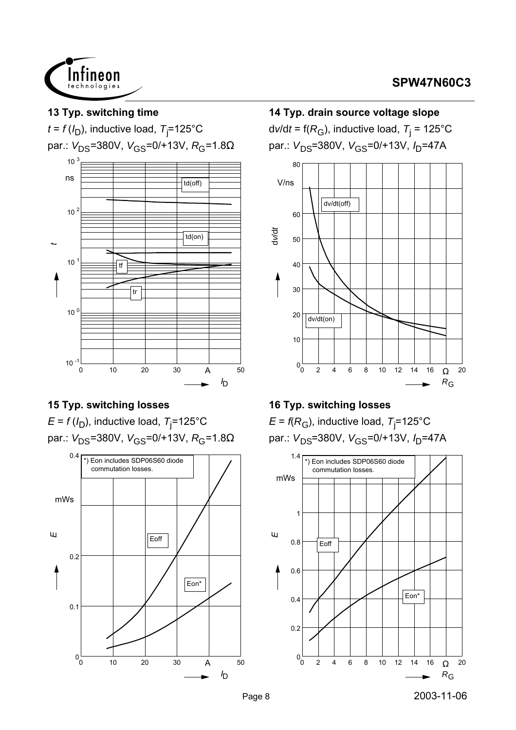



#### **15 Typ. switching losses**

 $E$  = *f* (/<sub>D</sub>), inductive load,  $T_{\rm j}$ =125°C par.:  $V_{DS}$ =380V,  $V_{GS}$ =0/+13V,  $R_G$ =1.8Ω



# **14 Typ. drain source voltage slope** d*v*/d*t* = f(*R*<sub>G</sub>), inductive load, *T*<sub>j</sub> = 125°C

par.:  $V_{DS}$ =380V,  $V_{GS}$ =0/+13V,  $I_{D}$ =47A



### **16 Typ. switching losses**

 $\mathsf E$  = *f*(R<sub>G</sub>), inductive load, T<sub>j</sub>=125°C par.: V<sub>DS</sub>=380V, V<sub>GS</sub>=0/+13V, I<sub>D</sub>=47A

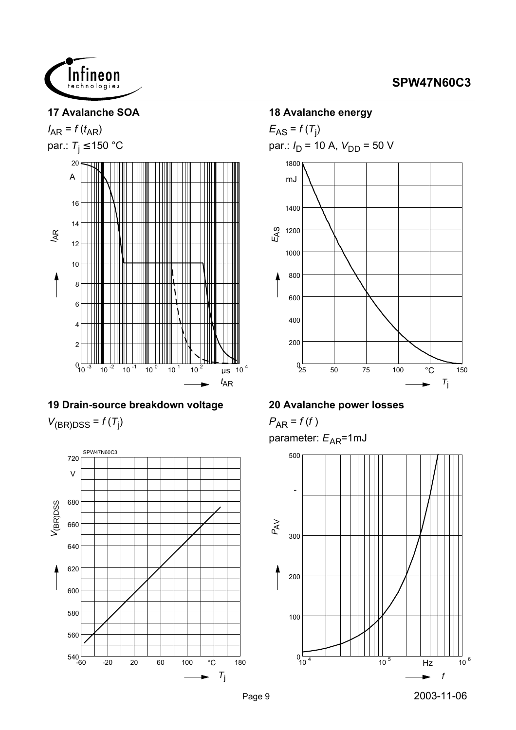

#### **17 Avalanche SOA**





# **19 Drain-source breakdown voltage**

 $V_{(BR)DSS} = f(T_j)$ 



#### **18 Avalanche energy**

 $E_{AS}$  =  $f(T_j)$ par.:  $I_D$  = 10 A,  $V_{DD}$  = 50 V 1800



#### **20 Avalanche power losses**

 $P_{AR} = f(f)$ parameter:  $E_{AR}$ =1mJ

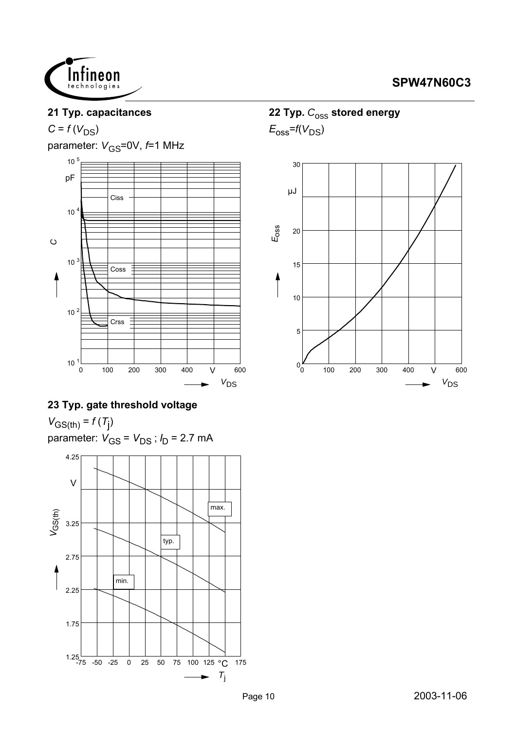

#### **21 Typ. capacitances**

 $C = f(V_{DS})$ 

parameter:  $V_{\text{GS}}$ =0V,  $f$ =1 MHz



### **23 Typ. gate threshold voltage**

 $V_{GS(th)} = f(T_{j})$ parameter: *V<sub>GS</sub>* = *V<sub>DS</sub>* ; *I<sub>D</sub>* = 2.7 mA



### 22 Typ.  $C_{\text{OSS}}$  stored energy

 $E_{\rm oss}$ = $f(V_{\rm DS})$ 

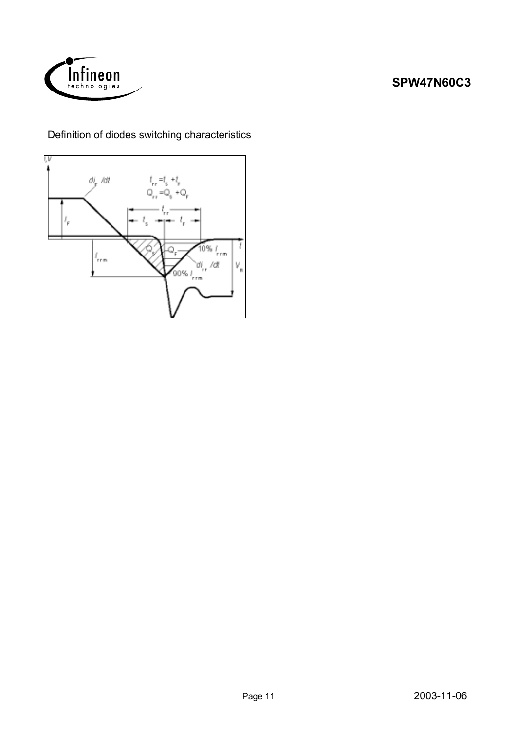

Definition of diodes switching characteristics

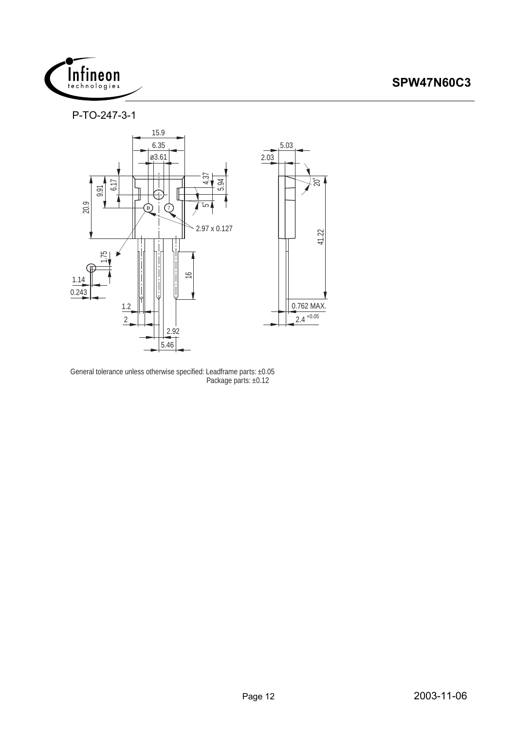

P-TO-247-3-1



General tolerance unless otherwise specified: Leadframe parts: ±0.05 Package parts: ±0.12